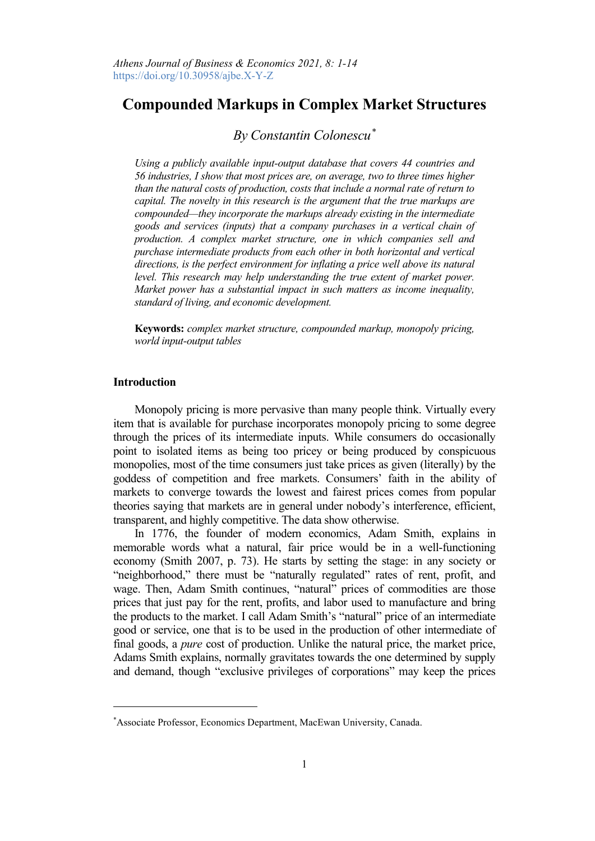# **Compounded Markups in Complex Market Structures**

## *By Constantin Colonescu[\\*](#page-0-0)*

*Using a publicly available input-output database that covers 44 countries and 56 industries, I show that most prices are, on average, two to three times higher than the natural costs of production, costs that include a normal rate of return to capital. The novelty in this research is the argument that the true markups are compounded—they incorporate the markups already existing in the intermediate goods and services (inputs) that a company purchases in a vertical chain of production. A complex market structure, one in which companies sell and purchase intermediate products from each other in both horizontal and vertical directions, is the perfect environment for inflating a price well above its natural level. This research may help understanding the true extent of market power. Market power has a substantial impact in such matters as income inequality, standard of living, and economic development.*

**Keywords:** *complex market structure, compounded markup, monopoly pricing, world input-output tables*

## **Introduction**

Monopoly pricing is more pervasive than many people think. Virtually every item that is available for purchase incorporates monopoly pricing to some degree through the prices of its intermediate inputs. While consumers do occasionally point to isolated items as being too pricey or being produced by conspicuous monopolies, most of the time consumers just take prices as given (literally) by the goddess of competition and free markets. Consumers' faith in the ability of markets to converge towards the lowest and fairest prices comes from popular theories saying that markets are in general under nobody's interference, efficient, transparent, and highly competitive. The data show otherwise.

In 1776, the founder of modern economics, Adam Smith, explains in memorable words what a natural, fair price would be in a well-functioning economy (Smith 2007, p. 73). He starts by setting the stage: in any society or "neighborhood," there must be "naturally regulated" rates of rent, profit, and wage. Then, Adam Smith continues, "natural" prices of commodities are those prices that just pay for the rent, profits, and labor used to manufacture and bring the products to the market. I call Adam Smith's "natural" price of an intermediate good or service, one that is to be used in the production of other intermediate of final goods, a *pure* cost of production. Unlike the natural price, the market price, Adams Smith explains, normally gravitates towards the one determined by supply and demand, though "exclusive privileges of corporations" may keep the prices

<span id="page-0-0"></span><sup>\*</sup> Associate Professor, Economics Department, MacEwan University, Canada.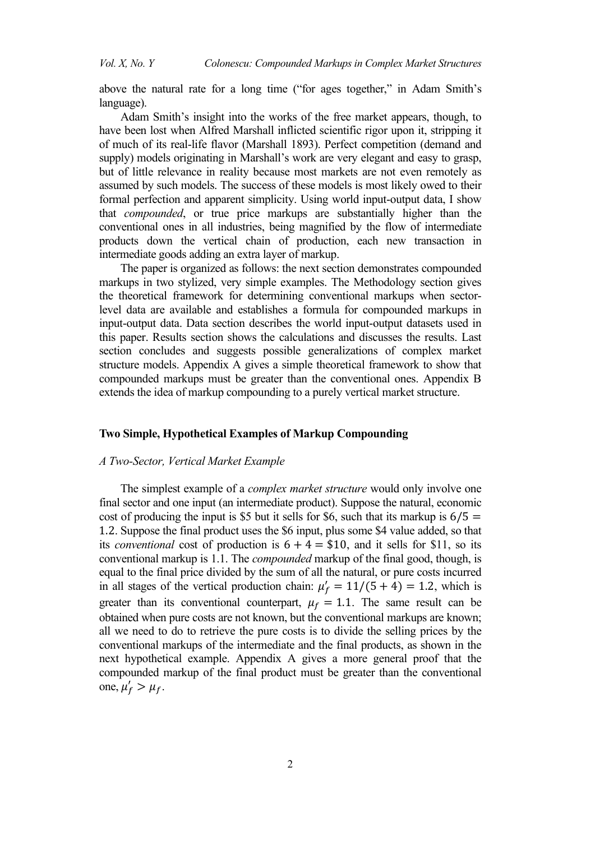above the natural rate for a long time ("for ages together," in Adam Smith's language).

Adam Smith's insight into the works of the free market appears, though, to have been lost when Alfred Marshall inflicted scientific rigor upon it, stripping it of much of its real-life flavor (Marshall 1893). Perfect competition (demand and supply) models originating in Marshall's work are very elegant and easy to grasp, but of little relevance in reality because most markets are not even remotely as assumed by such models. The success of these models is most likely owed to their formal perfection and apparent simplicity. Using world input-output data, I show that *compounded*, or true price markups are substantially higher than the conventional ones in all industries, being magnified by the flow of intermediate products down the vertical chain of production, each new transaction in intermediate goods adding an extra layer of markup.

The paper is organized as follows: the next section demonstrates compounded markups in two stylized, very simple examples. The Methodology section gives the theoretical framework for determining conventional markups when sectorlevel data are available and establishes a formula for compounded markups in input-output data. Data section describes the world input-output datasets used in this paper. Results section shows the calculations and discusses the results. Last section concludes and suggests possible generalizations of complex market structure models. Appendix A gives a simple theoretical framework to show that compounded markups must be greater than the conventional ones. Appendix B extends the idea of markup compounding to a purely vertical market structure.

## **Two Simple, Hypothetical Examples of Markup Compounding**

#### *A Two-Sector, Vertical Market Example*

The simplest example of a *complex market structure* would only involve one final sector and one input (an intermediate product). Suppose the natural, economic cost of producing the input is \$5 but it sells for \$6, such that its markup is  $6/5 =$ 1.2. Suppose the final product uses the \$6 input, plus some \$4 value added, so that its *conventional* cost of production is  $6 + 4 = $10$ , and it sells for \$11, so its conventional markup is 1.1. The *compounded* markup of the final good, though, is equal to the final price divided by the sum of all the natural, or pure costs incurred in all stages of the vertical production chain:  $\mu'_f = 11/(5 + 4) = 1.2$ , which is greater than its conventional counterpart,  $\mu_f = 1.1$ . The same result can be obtained when pure costs are not known, but the conventional markups are known; all we need to do to retrieve the pure costs is to divide the selling prices by the conventional markups of the intermediate and the final products, as shown in the next hypothetical example. Appendix A gives a more general proof that the compounded markup of the final product must be greater than the conventional one,  $\mu'_f > \mu_f$ .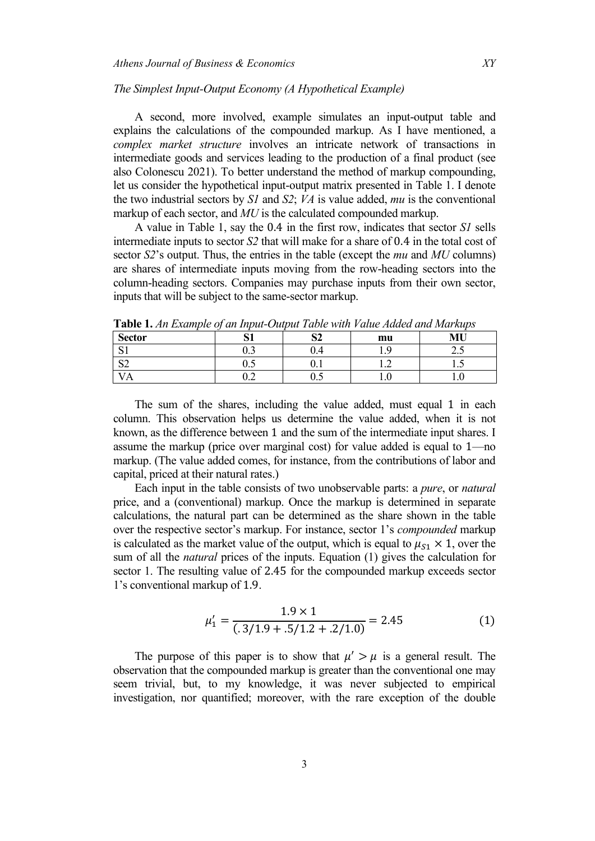#### *The Simplest Input-Output Economy (A Hypothetical Example)*

A second, more involved, example simulates an input-output table and explains the calculations of the compounded markup. As I have mentioned, a *complex market structure* involves an intricate network of transactions in intermediate goods and services leading to the production of a final product (see also Colonescu 2021). To better understand the method of markup compounding, let us consider the hypothetical input-output matrix presented in Table 1. I denote the two industrial sectors by *S1* and *S2*; *VA* is value added, *mu* is the conventional markup of each sector, and *MU* is the calculated compounded markup.

A value in Table 1, say the 0.4 in the first row, indicates that sector *S1* sells intermediate inputs to sector *S2* that will make for a share of 0.4 in the total cost of sector *S2*'s output. Thus, the entries in the table (except the *mu* and *MU* columns) are shares of intermediate inputs moving from the row-heading sectors into the column-heading sectors. Companies may purchase inputs from their own sector, inputs that will be subject to the same-sector markup.

| <b>Sector</b> |     | $\sim$<br>◡ | mu  | MU  |
|---------------|-----|-------------|-----|-----|
| $\sim$<br>◡   | ∪.⊃ | U.4         |     | ر ک |
| $\sim$<br>←∠  | ∪.∪ | v.i         |     | 1.V |
|               | ∪.∠ | ∪.∪         | 1.V | 1.V |

**Table 1.** *An Example of an Input-Output Table with Value Added and Markups*

The sum of the shares, including the value added, must equal 1 in each column. This observation helps us determine the value added, when it is not known, as the difference between 1 and the sum of the intermediate input shares. I assume the markup (price over marginal cost) for value added is equal to 1—no markup. (The value added comes, for instance, from the contributions of labor and capital, priced at their natural rates.)

Each input in the table consists of two unobservable parts: a *pure*, or *natural* price, and a (conventional) markup. Once the markup is determined in separate calculations, the natural part can be determined as the share shown in the table over the respective sector's markup. For instance, sector 1's *compounded* markup is calculated as the market value of the output, which is equal to  $\mu_{S1} \times 1$ , over the sum of all the *natural* prices of the inputs. Equation (1) gives the calculation for sector 1. The resulting value of 2.45 for the compounded markup exceeds sector 1's conventional markup of 1.9.

$$
\mu_1' = \frac{1.9 \times 1}{(.3/1.9 + .5/1.2 + .2/1.0)} = 2.45
$$
 (1)

The purpose of this paper is to show that  $\mu' > \mu$  is a general result. The observation that the compounded markup is greater than the conventional one may seem trivial, but, to my knowledge, it was never subjected to empirical investigation, nor quantified; moreover, with the rare exception of the double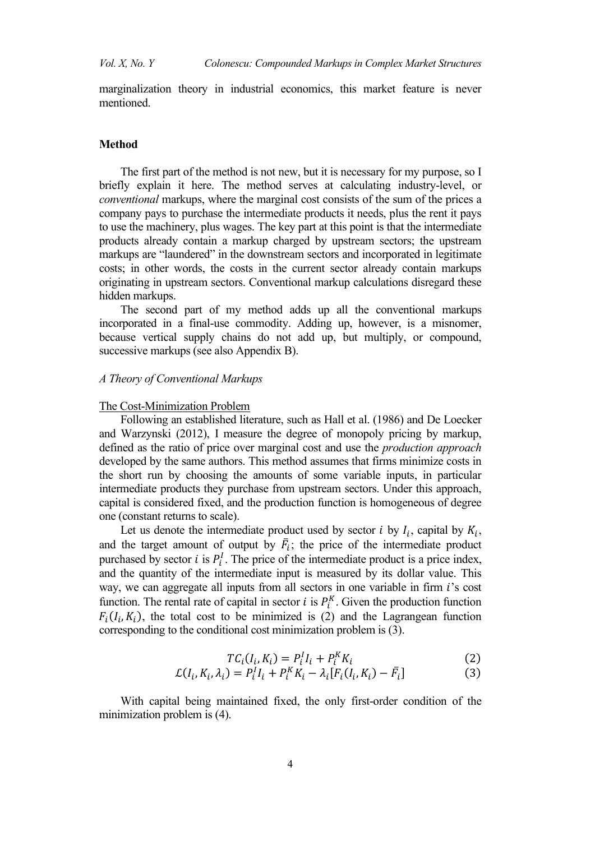marginalization theory in industrial economics, this market feature is never mentioned.

#### **Method**

The first part of the method is not new, but it is necessary for my purpose, so I briefly explain it here. The method serves at calculating industry-level, or *conventional* markups, where the marginal cost consists of the sum of the prices a company pays to purchase the intermediate products it needs, plus the rent it pays to use the machinery, plus wages. The key part at this point is that the intermediate products already contain a markup charged by upstream sectors; the upstream markups are "laundered" in the downstream sectors and incorporated in legitimate costs; in other words, the costs in the current sector already contain markups originating in upstream sectors. Conventional markup calculations disregard these hidden markups.

The second part of my method adds up all the conventional markups incorporated in a final-use commodity. Adding up, however, is a misnomer, because vertical supply chains do not add up, but multiply, or compound, successive markups (see also Appendix B).

## *A Theory of Conventional Markups*

## The Cost-Minimization Problem

Following an established literature, such as Hall et al. (1986) and De Loecker and Warzynski (2012), I measure the degree of monopoly pricing by markup, defined as the ratio of price over marginal cost and use the *production approach* developed by the same authors. This method assumes that firms minimize costs in the short run by choosing the amounts of some variable inputs, in particular intermediate products they purchase from upstream sectors. Under this approach, capital is considered fixed, and the production function is homogeneous of degree one (constant returns to scale).

Let us denote the intermediate product used by sector *i* by  $I_i$ , capital by  $K_i$ , and the target amount of output by  $F_i$ ; the price of the intermediate product purchased by sector *i* is  $P_i^l$ . The price of the intermediate product is a price index, and the quantity of the intermediate input is measured by its dollar value. This way, we can aggregate all inputs from all sectors in one variable in firm  $i$ 's cost function. The rental rate of capital in sector *i* is  $P_i^k$ . Given the production function  $F_i(I_i, K_i)$ , the total cost to be minimized is (2) and the Lagrangean function corresponding to the conditional cost minimization problem is (3).

$$
TC_i(I_i, K_i) = P_i^I I_i + P_i^K K_i
$$
\n<sup>(2)</sup>

$$
\mathcal{L}(I_i, K_i, \lambda_i) = P_i^I I_i + P_i^K K_i - \lambda_i [F_i(I_i, K_i) - \bar{F}_i]
$$
\n(3)

With capital being maintained fixed, the only first-order condition of the minimization problem is (4).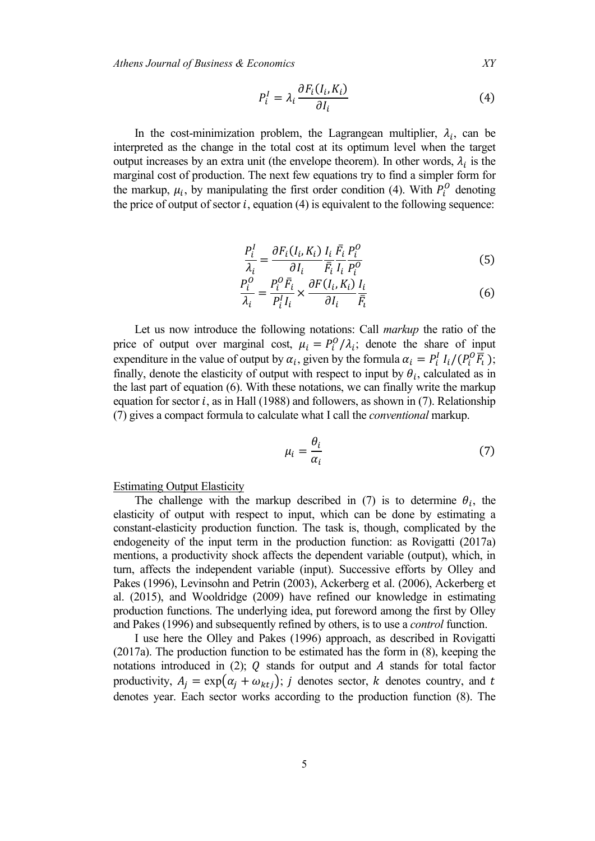*Athens Journal of Business & Economics XY*

$$
P_i^I = \lambda_i \frac{\partial F_i(I_i, K_i)}{\partial I_i} \tag{4}
$$

In the cost-minimization problem, the Lagrangean multiplier,  $\lambda_i$ , can be interpreted as the change in the total cost at its optimum level when the target output increases by an extra unit (the envelope theorem). In other words,  $\lambda_i$  is the marginal cost of production. The next few equations try to find a simpler form for the markup,  $\mu_i$ , by manipulating the first order condition (4). With  $P_i^U$  denoting the price of output of sector  $i$ , equation (4) is equivalent to the following sequence:

$$
\frac{P_i^I}{\lambda_i} = \frac{\partial F_i(I_i, K_i)}{\partial I_i} \frac{I_i}{\overline{F}_i} \frac{\overline{F}_i}{I_i} \frac{P_i^O}{P_i^O}
$$
(5)

$$
\frac{P_i^O}{\lambda_i} = \frac{P_i^O \bar{F}_i}{P_i^I I_i} \times \frac{\partial F(I_i, K_i)}{\partial I_i} \frac{I_i}{\bar{F}_i}
$$
(6)

Let us now introduce the following notations: Call *markup* the ratio of the price of output over marginal cost,  $\mu_i = P_i^0 / \lambda_i$ ; denote the share of input expenditure in the value of output by  $\alpha_i$ , given by the formula  $\alpha_i = P_i^l I_i/(P_i^0 F_i)$ ; finally, denote the elasticity of output with respect to input by  $\theta_i$ , calculated as in the last part of equation (6). With these notations, we can finally write the markup equation for sector  $i$ , as in Hall (1988) and followers, as shown in (7). Relationship (7) gives a compact formula to calculate what I call the *conventional* markup.

$$
\mu_i = \frac{\theta_i}{\alpha_i} \tag{7}
$$

Estimating Output Elasticity

The challenge with the markup described in (7) is to determine  $\theta_i$ , the elasticity of output with respect to input, which can be done by estimating a constant-elasticity production function. The task is, though, complicated by the endogeneity of the input term in the production function: as Rovigatti (2017a) mentions, a productivity shock affects the dependent variable (output), which, in turn, affects the independent variable (input). Successive efforts by Olley and Pakes (1996), Levinsohn and Petrin (2003), Ackerberg et al. (2006), Ackerberg et al. (2015), and Wooldridge (2009) have refined our knowledge in estimating production functions. The underlying idea, put foreword among the first by Olley and Pakes (1996) and subsequently refined by others, is to use a *control* function.

I use here the Olley and Pakes (1996) approach, as described in Rovigatti (2017a). The production function to be estimated has the form in (8), keeping the notations introduced in (2);  $Q$  stands for output and  $A$  stands for total factor productivity,  $A_i = \exp(\alpha_i + \omega_{kt})$ ; *j* denotes sector, *k* denotes country, and *t* denotes year. Each sector works according to the production function (8). The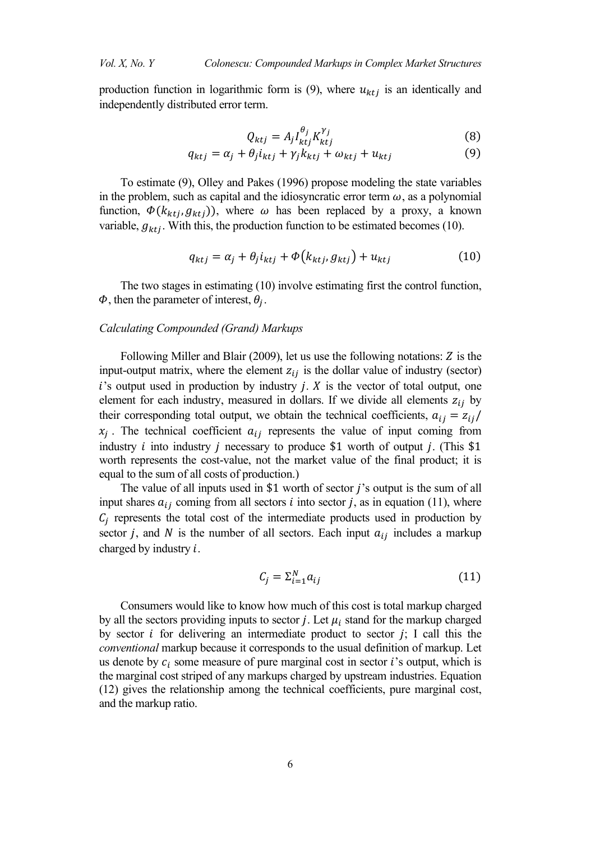production function in logarithmic form is (9), where  $u_{ktj}$  is an identically and independently distributed error term.

$$
Q_{ktj} = A_j I_{ktj}^{\theta_j} K_{ktj}^{\gamma_j}
$$
 (8)

$$
q_{ktj} = \alpha_j + \theta_j i_{ktj} + \gamma_j k_{ktj} + \omega_{ktj} + u_{ktj}
$$
(9)

To estimate (9), Olley and Pakes (1996) propose modeling the state variables in the problem, such as capital and the idiosyncratic error term  $\omega$ , as a polynomial function,  $\Phi(k_{ktj}, g_{ktj})$ , where  $\omega$  has been replaced by a proxy, a known variable,  $g_{ktj}$ . With this, the production function to be estimated becomes (10).

$$
q_{ktj} = \alpha_j + \theta_j i_{ktj} + \Phi(k_{ktj}, g_{ktj}) + u_{ktj}
$$
 (10)

The two stages in estimating (10) involve estimating first the control function,  $\Phi$ , then the parameter of interest,  $\theta_i$ .

#### *Calculating Compounded (Grand) Markups*

Following Miller and Blair (2009), let us use the following notations:  $Z$  is the input-output matrix, where the element  $z_{ij}$  is the dollar value of industry (sector)  $i$ 's output used in production by industry  $j$ .  $X$  is the vector of total output, one element for each industry, measured in dollars. If we divide all elements  $z_{ij}$  by their corresponding total output, we obtain the technical coefficients,  $a_{ij} = z_{ij}/$  $x_i$ . The technical coefficient  $a_{ij}$  represents the value of input coming from industry *i* into industry *j* necessary to produce \$1 worth of output *j*. (This \$1 worth represents the cost-value, not the market value of the final product; it is equal to the sum of all costs of production.)

The value of all inputs used in \$1 worth of sector  $j$ 's output is the sum of all input shares  $a_{ij}$  coming from all sectors *i* into sector *j*, as in equation (11), where  $C_i$  represents the total cost of the intermediate products used in production by sector *j*, and *N* is the number of all sectors. Each input  $a_{ij}$  includes a markup charged by industry  $i$ .

$$
C_j = \sum_{i=1}^{N} a_{ij} \tag{11}
$$

Consumers would like to know how much of this cost is total markup charged by all the sectors providing inputs to sector *j*. Let  $\mu_i$  stand for the markup charged by sector *i* for delivering an intermediate product to sector *j*; I call this the *conventional* markup because it corresponds to the usual definition of markup. Let us denote by  $c_i$  some measure of pure marginal cost in sector *i*'s output, which is the marginal cost striped of any markups charged by upstream industries. Equation (12) gives the relationship among the technical coefficients, pure marginal cost, and the markup ratio.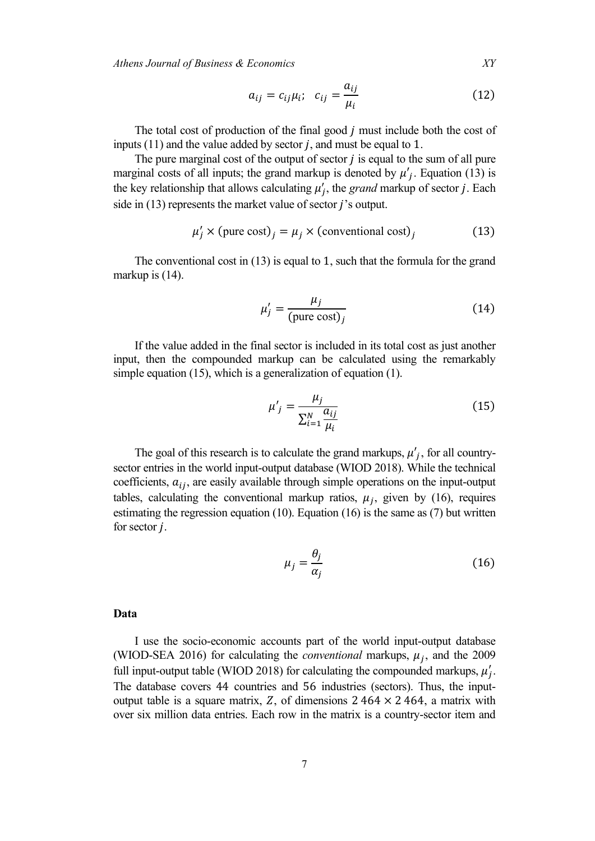*Athens Journal of Business & Economics XY*

$$
a_{ij} = c_{ij}\mu_i; \quad c_{ij} = \frac{a_{ij}}{\mu_i}
$$
 (12)

The total cost of production of the final good  $j$  must include both the cost of inputs  $(11)$  and the value added by sector *j*, and must be equal to 1.

The pure marginal cost of the output of sector  $j$  is equal to the sum of all pure marginal costs of all inputs; the grand markup is denoted by  $\mu'_{j}$ . Equation (13) is the key relationship that allows calculating  $\mu'_j$ , the *grand* markup of sector *j*. Each side in  $(13)$  represents the market value of sector *j*'s output.

$$
\mu'_j \times \text{(pure cost)}_j = \mu_j \times \text{(conventional cost)}_j \tag{13}
$$

The conventional cost in (13) is equal to 1, such that the formula for the grand markup is  $(14)$ .

$$
\mu'_{j} = \frac{\mu_{j}}{\text{(pure cost)}_{j}}\tag{14}
$$

If the value added in the final sector is included in its total cost as just another input, then the compounded markup can be calculated using the remarkably simple equation (15), which is a generalization of equation (1).

$$
\mu'_{j} = \frac{\mu_{j}}{\sum_{i=1}^{N} \frac{a_{ij}}{\mu_{i}}}
$$
\n(15)

The goal of this research is to calculate the grand markups,  $\mu'_{j}$ , for all countrysector entries in the world input-output database (WIOD 2018). While the technical coefficients,  $a_{ij}$ , are easily available through simple operations on the input-output tables, calculating the conventional markup ratios,  $\mu_i$ , given by (16), requires estimating the regression equation  $(10)$ . Equation  $(16)$  is the same as  $(7)$  but written for sector  $j$ .

$$
\mu_j = \frac{\theta_j}{\alpha_j} \tag{16}
$$

#### **Data**

I use the socio-economic accounts part of the world input-output database (WIOD-SEA 2016) for calculating the *conventional* markups,  $\mu_j$ , and the 2009 full input-output table (WIOD 2018) for calculating the compounded markups,  $\mu'_j$ . The database covers 44 countries and 56 industries (sectors). Thus, the inputoutput table is a square matrix, Z, of dimensions  $2\,464 \times 2\,464$ , a matrix with over six million data entries. Each row in the matrix is a country-sector item and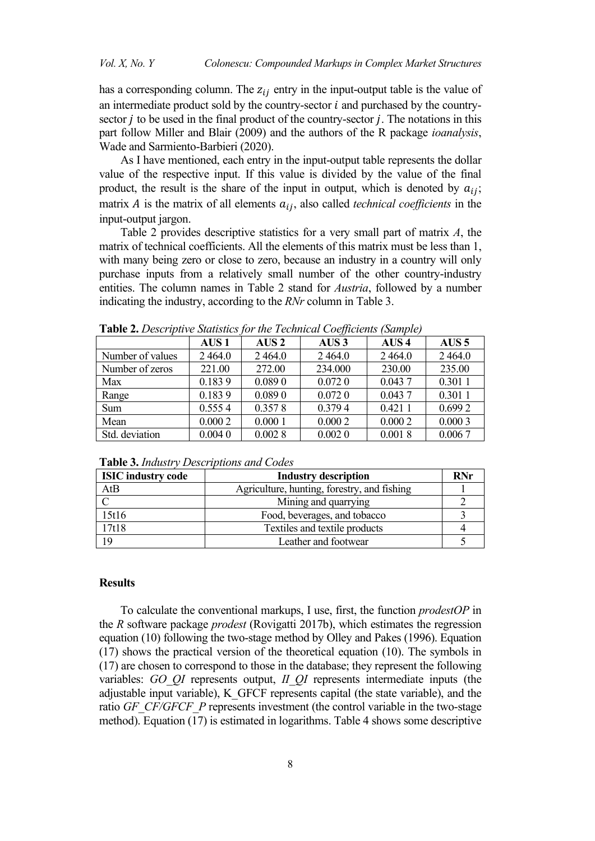has a corresponding column. The  $z_{ij}$  entry in the input-output table is the value of an intermediate product sold by the country-sector  $i$  and purchased by the countrysector  $\dot{\jmath}$  to be used in the final product of the country-sector  $\dot{\jmath}$ . The notations in this part follow Miller and Blair (2009) and the authors of the R package *ioanalysis*, Wade and Sarmiento-Barbieri (2020).

As I have mentioned, each entry in the input-output table represents the dollar value of the respective input. If this value is divided by the value of the final product, the result is the share of the input in output, which is denoted by  $a_{ij}$ ; matrix  $\vec{A}$  is the matrix of all elements  $a_{ij}$ , also called *technical coefficients* in the input-output jargon.

Table 2 provides descriptive statistics for a very small part of matrix *A*, the matrix of technical coefficients. All the elements of this matrix must be less than 1, with many being zero or close to zero, because an industry in a country will only purchase inputs from a relatively small number of the other country-industry entities. The column names in Table 2 stand for *Austria*, followed by a number indicating the industry, according to the *RNr* column in Table 3.

|                  |                  | $\sigma$ , the rectangent cooppering<br>$\sim$ |                  |                  |                  |
|------------------|------------------|------------------------------------------------|------------------|------------------|------------------|
|                  | AUS <sub>1</sub> | AUS <sub>2</sub>                               | AUS <sub>3</sub> | AUS <sub>4</sub> | AUS <sub>5</sub> |
| Number of values | 2464.0           | 2464.0                                         | 2464.0           | 2464.0           | 2464.0           |
| Number of zeros  | 221.00           | 272.00                                         | 234.000          | 230.00           | 235.00           |
| Max              | 0.1839           | 0.0890                                         | 0.0720           | 0.0437           | 0.3011           |
| Range            | 0.1839           | 0.0890                                         | 0.0720           | 0.0437           | 0.3011           |
| Sum              | 0.5554           | 0.3578                                         | 0.3794           | 0.4211           | 0.6992           |
| Mean             | 0.0002           | 0.0001                                         | 0.0002           | 0.0002           | 0.0003           |
| Std. deviation   | 0.0040           | 0.0028                                         | 0.0020           | 0.0018           | 0.0067           |

**Table 2.** *Descriptive Statistics for the Technical Coefficients (Sample)*

| <b>ISIC industry code</b> | <b>Industry description</b>                 |  |
|---------------------------|---------------------------------------------|--|
| AtB                       | Agriculture, hunting, forestry, and fishing |  |
|                           | Mining and quarrying                        |  |
| 15t16                     | Food, beverages, and tobacco                |  |
| 17t18                     | Textiles and textile products               |  |
| 19                        | Leather and footwear                        |  |

**Table 3.** *Industry Descriptions and Codes*

## **Results**

To calculate the conventional markups, I use, first, the function *prodestOP* in the *R* software package *prodest* (Rovigatti 2017b), which estimates the regression equation (10) following the two-stage method by Olley and Pakes (1996). Equation (17) shows the practical version of the theoretical equation (10). The symbols in (17) are chosen to correspond to those in the database; they represent the following variables: *GO\_QI* represents output, *II\_QI* represents intermediate inputs (the adjustable input variable), K\_GFCF represents capital (the state variable), and the ratio *GF\_CF/GFCF\_P* represents investment (the control variable in the two-stage method). Equation (17) is estimated in logarithms. Table 4 shows some descriptive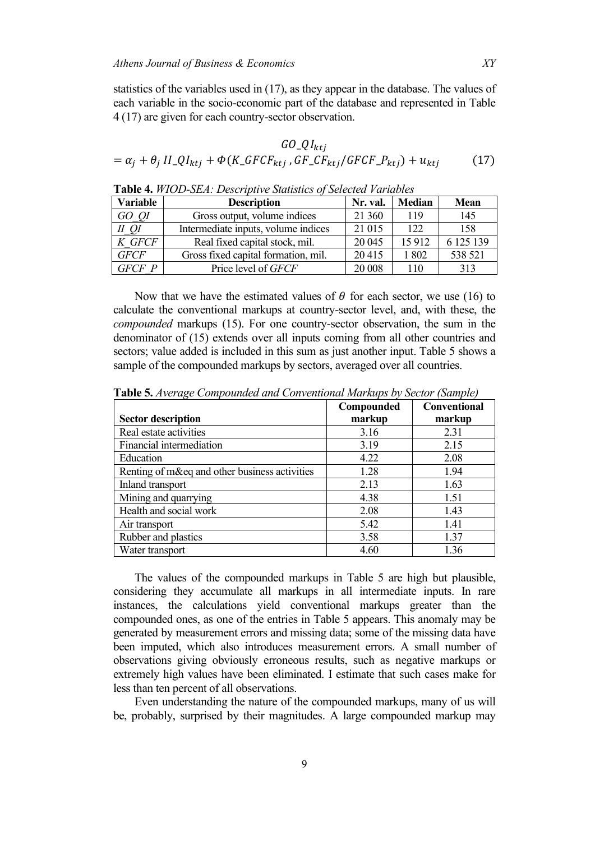statistics of the variables used in (17), as they appear in the database. The values of each variable in the socio-economic part of the database and represented in Table 4 (17) are given for each country-sector observation.

$$
GO_{ktj}
$$
  
=  $\alpha_j + \theta_j II_{\text{-}}QI_{ktj} + \Phi(K_{\text{-}}GFCF_{ktj}, GF_{\text{-}}CF_{ktj}/GFCF_{\text{-}}P_{ktj}) + u_{ktj}$  (17)

| Variable    | <b>Description</b>                  | Nr. val. | <b>Median</b> | Mean      |
|-------------|-------------------------------------|----------|---------------|-----------|
| GO QI       | Gross output, volume indices        | 21 360   | 119           | 145       |
| II OI       | Intermediate inputs, volume indices | 21 015   | 122           | 158       |
| K GFCF      | Real fixed capital stock, mil.      | 20 045   | 15912         | 6 125 139 |
| <b>GFCF</b> | Gross fixed capital formation, mil. | 20415    | 1802          | 538 521   |
| GFCF P      | Price level of GFCF                 | 20 008   | 110           | 313       |

**Table 4.** *WIOD-SEA: Descriptive Statistics of Selected Variables*

Now that we have the estimated values of  $\theta$  for each sector, we use (16) to calculate the conventional markups at country-sector level, and, with these, the *compounded* markups (15). For one country-sector observation, the sum in the denominator of (15) extends over all inputs coming from all other countries and sectors; value added is included in this sum as just another input. Table 5 shows a sample of the compounded markups by sectors, averaged over all countries.

|                                               | Compounded | <b>Conventional</b> |
|-----------------------------------------------|------------|---------------------|
| <b>Sector description</b>                     | markup     | markup              |
| Real estate activities                        | 3.16       | 2.31                |
| Financial intermediation                      | 3.19       | 2.15                |
| Education                                     | 4.22       | 2.08                |
| Renting of m&eq and other business activities | 1.28       | 1.94                |
| Inland transport                              | 2.13       | 1.63                |
| Mining and quarrying                          | 4.38       | 1.51                |
| Health and social work                        | 2.08       | 1.43                |
| Air transport                                 | 5.42       | 1.41                |
| Rubber and plastics                           | 3.58       | 1.37                |
| Water transport                               | 4.60       | 1.36                |

**Table 5.** *Average Compounded and Conventional Markups by Sector (Sample)*

The values of the compounded markups in Table 5 are high but plausible, considering they accumulate all markups in all intermediate inputs. In rare instances, the calculations yield conventional markups greater than the compounded ones, as one of the entries in Table 5 appears. This anomaly may be generated by measurement errors and missing data; some of the missing data have been imputed, which also introduces measurement errors. A small number of observations giving obviously erroneous results, such as negative markups or extremely high values have been eliminated. I estimate that such cases make for less than ten percent of all observations.

Even understanding the nature of the compounded markups, many of us will be, probably, surprised by their magnitudes. A large compounded markup may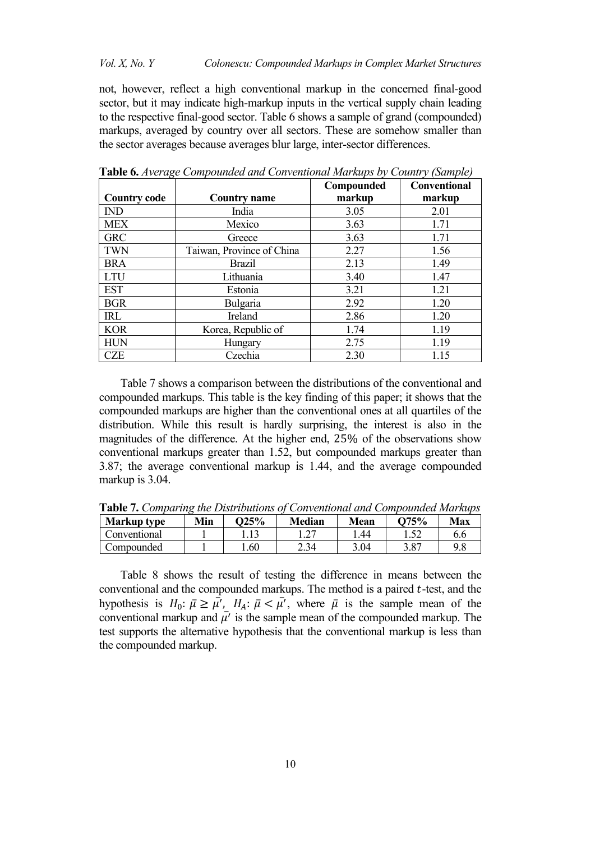not, however, reflect a high conventional markup in the concerned final-good sector, but it may indicate high-markup inputs in the vertical supply chain leading to the respective final-good sector. Table 6 shows a sample of grand (compounded) markups, averaged by country over all sectors. These are somehow smaller than the sector averages because averages blur large, inter-sector differences.

|                     |                           | Compounded | <b>Conventional</b> |
|---------------------|---------------------------|------------|---------------------|
| <b>Country code</b> | <b>Country name</b>       | markup     | markup              |
| <b>IND</b>          | India                     | 3.05       | 2.01                |
| <b>MEX</b>          | Mexico                    | 3.63       | 1.71                |
| <b>GRC</b>          | Greece                    | 3.63       | 1.71                |
| <b>TWN</b>          | Taiwan, Province of China | 2.27       | 1.56                |
| <b>BRA</b>          | <b>Brazil</b>             | 2.13       | 1.49                |
| <b>LTU</b>          | Lithuania                 | 3.40       | 1.47                |
| <b>EST</b>          | Estonia                   | 3.21       | 1.21                |
| <b>BGR</b>          | Bulgaria                  | 2.92       | 1.20                |
| IRL                 | Ireland                   | 2.86       | 1.20                |
| <b>KOR</b>          | Korea, Republic of        | 1.74       | 1.19                |
| <b>HUN</b>          | Hungary                   | 2.75       | 1.19                |
| CZE                 | Czechia                   | 2.30       | 1.15                |

**Table 6.** *Average Compounded and Conventional Markups by Country (Sample)*

Table 7 shows a comparison between the distributions of the conventional and compounded markups. This table is the key finding of this paper; it shows that the compounded markups are higher than the conventional ones at all quartiles of the distribution. While this result is hardly surprising, the interest is also in the magnitudes of the difference. At the higher end, 25% of the observations show conventional markups greater than 1.52, but compounded markups greater than 3.87; the average conventional markup is 1.44, and the average compounded markup is 3.04.

| <b>Table 1.</b> Comparing the Distributions of Conventional and Compounded Blurmaps |     |             |               |      |              |     |
|-------------------------------------------------------------------------------------|-----|-------------|---------------|------|--------------|-----|
| <b>Markup type</b>                                                                  | Min | $\Omega$ 5% | <b>Median</b> | Mean | $\Omega$ 75% | Max |
| Conventional                                                                        |     |             |               | .44  |              |     |
| Compounded                                                                          |     | .60         | 2.34          | 3.04 | 3.87         | 9.8 |

**Table 7.** *Comparing the Distributions of Conventional and Compounded Markups*

Table 8 shows the result of testing the difference in means between the conventional and the compounded markups. The method is a paired  $t$ -test, and the hypothesis is  $H_0: \bar{\mu} \ge \mu'$ ,  $H_A: \bar{\mu} < \mu'$ , where  $\bar{\mu}$  is the sample mean of the conventional markup and  $\bar{\mu'}$  is the sample mean of the compounded markup. The test supports the alternative hypothesis that the conventional markup is less than the compounded markup.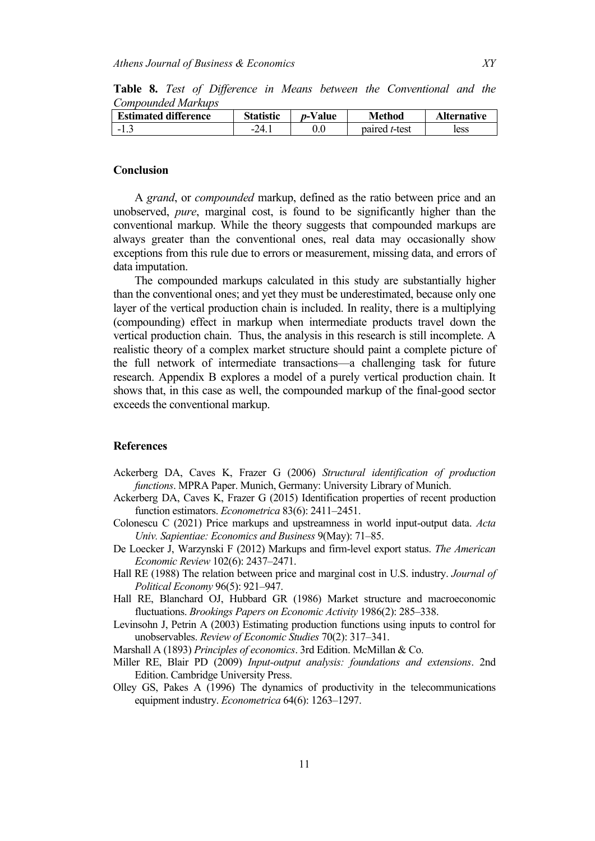**Table 8.** *Test of Difference in Means between the Conventional and the Compounded Markups*

| <b>Estimated difference</b>       | <b>Statistic</b>  | <i>p</i> -Value | <b>Method</b>         | <b>Alternative</b> |
|-----------------------------------|-------------------|-----------------|-----------------------|--------------------|
| $\overline{\phantom{0}}$<br>ن . 1 | $24^{\circ}$<br>- | $0.0\,$         | paired <i>t</i> -test | less               |

## **Conclusion**

A *grand*, or *compounded* markup, defined as the ratio between price and an unobserved, *pure*, marginal cost, is found to be significantly higher than the conventional markup. While the theory suggests that compounded markups are always greater than the conventional ones, real data may occasionally show exceptions from this rule due to errors or measurement, missing data, and errors of data imputation.

The compounded markups calculated in this study are substantially higher than the conventional ones; and yet they must be underestimated, because only one layer of the vertical production chain is included. In reality, there is a multiplying (compounding) effect in markup when intermediate products travel down the vertical production chain. Thus, the analysis in this research is still incomplete. A realistic theory of a complex market structure should paint a complete picture of the full network of intermediate transactions—a challenging task for future research. Appendix B explores a model of a purely vertical production chain. It shows that, in this case as well, the compounded markup of the final-good sector exceeds the conventional markup.

### **References**

- Ackerberg DA, Caves K, Frazer G (2006) *Structural identification of production functions*. MPRA Paper. Munich, Germany: University Library of Munich.
- Ackerberg DA, Caves K, Frazer G (2015) Identification properties of recent production function estimators. *Econometrica* 83(6): 2411–2451.
- Colonescu C (2021) Price markups and upstreamness in world input-output data. *Acta Univ. Sapientiae: Economics and Business* 9(May): 71–85.
- De Loecker J, Warzynski F (2012) Markups and firm-level export status. *The American Economic Review* 102(6): 2437–2471.
- Hall RE (1988) The relation between price and marginal cost in U.S. industry. *Journal of Political Economy* 96(5): 921–947.
- Hall RE, Blanchard OJ, Hubbard GR (1986) Market structure and macroeconomic fluctuations. *Brookings Papers on Economic Activity* 1986(2): 285–338.
- Levinsohn J, Petrin A (2003) Estimating production functions using inputs to control for unobservables. *Review of Economic Studies* 70(2): 317–341.

Marshall A (1893) *Principles of economics*. 3rd Edition. McMillan & Co.

- Miller RE, Blair PD (2009) *Input-output analysis: foundations and extensions*. 2nd Edition. Cambridge University Press.
- Olley GS, Pakes A (1996) The dynamics of productivity in the telecommunications equipment industry. *Econometrica* 64(6): 1263–1297.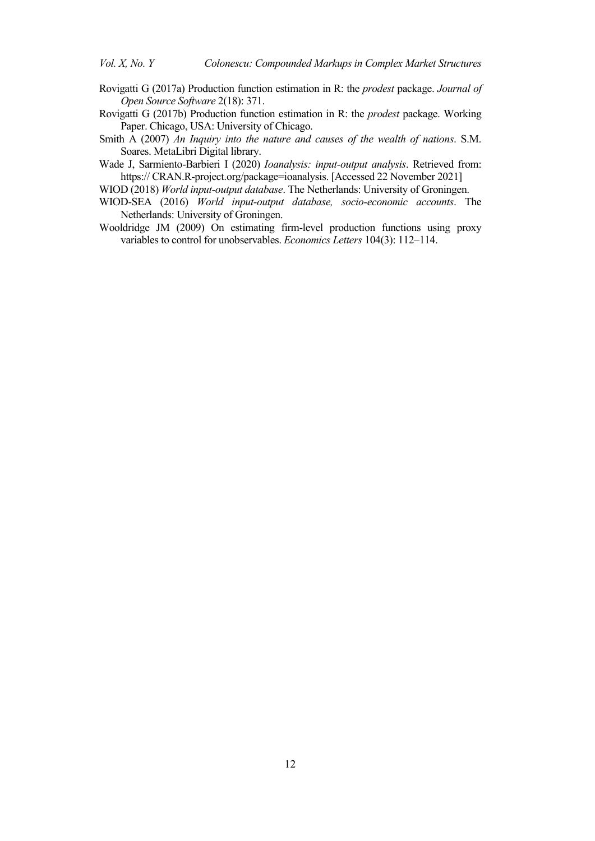- Rovigatti G (2017a) Production function estimation in R: the *prodest* package. *Journal of Open Source Software* 2(18): 371.
- Rovigatti G (2017b) Production function estimation in R: the *prodest* package. Working Paper. Chicago, USA: University of Chicago.
- Smith A (2007) *An Inquiry into the nature and causes of the wealth of nations*. S.M. Soares. MetaLibri Digital library.
- Wade J, Sarmiento-Barbieri I (2020) *Ioanalysis: input-output analysis*. Retrieved from: https:// CRAN.R-project.org/package=ioanalysis. [Accessed 22 November 2021]

WIOD (2018) *World input-output database*. The Netherlands: University of Groningen.

- WIOD-SEA (2016) *World input-output database, socio-economic accounts*. The Netherlands: University of Groningen.
- Wooldridge JM (2009) On estimating firm-level production functions using proxy variables to control for unobservables. *Economics Letters* 104(3): 112–114.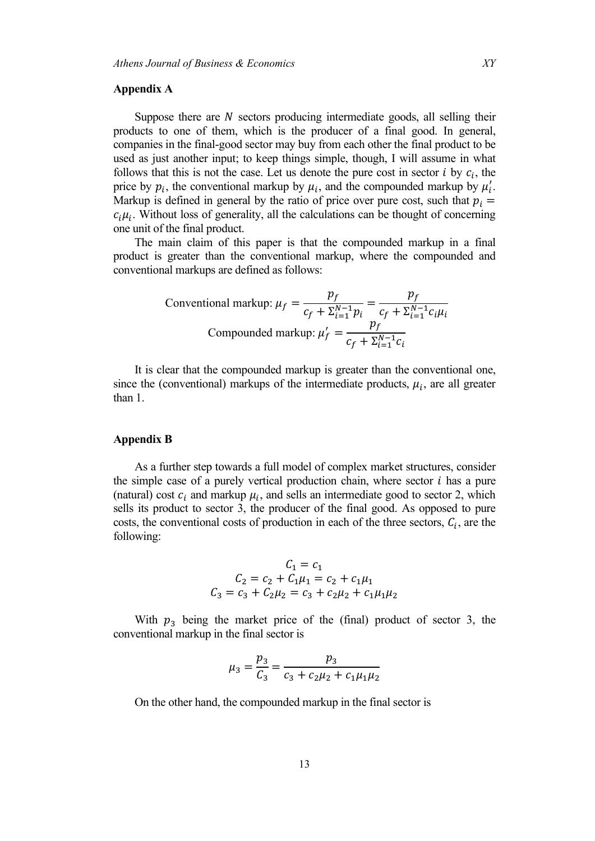#### **Appendix A**

Suppose there are  $N$  sectors producing intermediate goods, all selling their products to one of them, which is the producer of a final good. In general, companies in the final-good sector may buy from each other the final product to be used as just another input; to keep things simple, though, I will assume in what follows that this is not the case. Let us denote the pure cost in sector  $i$  by  $c_i$ , the price by  $p_i$ , the conventional markup by  $\mu_i$ , and the compounded markup by  $\mu'_i$ . Markup is defined in general by the ratio of price over pure cost, such that  $p_i =$  $c_i\mu_i$ . Without loss of generality, all the calculations can be thought of concerning one unit of the final product.

The main claim of this paper is that the compounded markup in a final product is greater than the conventional markup, where the compounded and conventional markups are defined as follows:

Conventional markup: 
$$
\mu_f = \frac{p_f}{c_f + \sum_{i=1}^{N-1} p_i} = \frac{p_f}{c_f + \sum_{i=1}^{N-1} c_i \mu_i}
$$
  
Compounded markup:  $\mu'_f = \frac{p_f}{c_f + \sum_{i=1}^{N-1} c_i}$ 

It is clear that the compounded markup is greater than the conventional one, since the (conventional) markups of the intermediate products,  $\mu_i$ , are all greater than 1.

#### **Appendix B**

As a further step towards a full model of complex market structures, consider the simple case of a purely vertical production chain, where sector  $i$  has a pure (natural) cost  $c_i$  and markup  $\mu_i$ , and sells an intermediate good to sector 2, which sells its product to sector 3, the producer of the final good. As opposed to pure costs, the conventional costs of production in each of the three sectors,  $C_i$ , are the following:

$$
C_1 = c_1
$$
  
\n
$$
C_2 = c_2 + C_1 \mu_1 = c_2 + c_1 \mu_1
$$
  
\n
$$
C_3 = c_3 + C_2 \mu_2 = c_3 + c_2 \mu_2 + c_1 \mu_1 \mu_2
$$

With  $p_3$  being the market price of the (final) product of sector 3, the conventional markup in the final sector is

$$
\mu_3 = \frac{p_3}{C_3} = \frac{p_3}{c_3 + c_2\mu_2 + c_1\mu_1\mu_2}
$$

On the other hand, the compounded markup in the final sector is